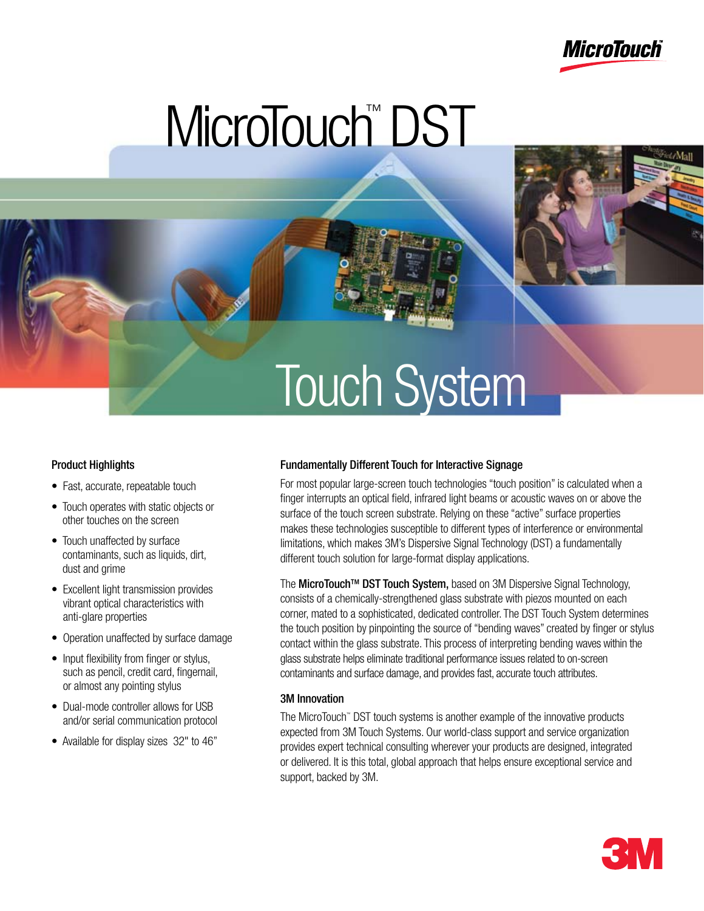

# MicroTouch™ DST

## Touch System

#### Product Highlights

- Fast, accurate, repeatable touch
- Touch operates with static objects or other touches on the screen
- Touch unaffected by surface contaminants, such as liquids, dirt, dust and grime
- Excellent light transmission provides vibrant optical characteristics with anti-glare properties
- Operation unaffected by surface damage
- Input flexibility from finger or stylus, such as pencil, credit card, fingernail, or almost any pointing stylus
- Dual-mode controller allows for USB and/or serial communication protocol
- Available for display sizes 32" to 46"

#### Fundamentally Different Touch for Interactive Signage

For most popular large-screen touch technologies "touch position" is calculated when a finger interrupts an optical field, infrared light beams or acoustic waves on or above the surface of the touch screen substrate. Relying on these "active" surface properties makes these technologies susceptible to different types of interference or environmental limitations, which makes 3M's Dispersive Signal Technology (DST) a fundamentally different touch solution for large-format display applications.

The MicroTouch™ DST Touch System, based on 3M Dispersive Signal Technology, consists of a chemically-strengthened glass substrate with piezos mounted on each corner, mated to a sophisticated, dedicated controller. The DST Touch System determines the touch position by pinpointing the source of "bending waves" created by finger or stylus contact within the glass substrate. This process of interpreting bending waves within the glass substrate helps eliminate traditional performance issues related to on-screen contaminants and surface damage, and provides fast, accurate touch attributes.

#### 3M Innovation

The MicroTouch™ DST touch systems is another example of the innovative products expected from 3M Touch Systems. Our world-class support and service organization provides expert technical consulting wherever your products are designed, integrated or delivered. It is this total, global approach that helps ensure exceptional service and support, backed by 3M.